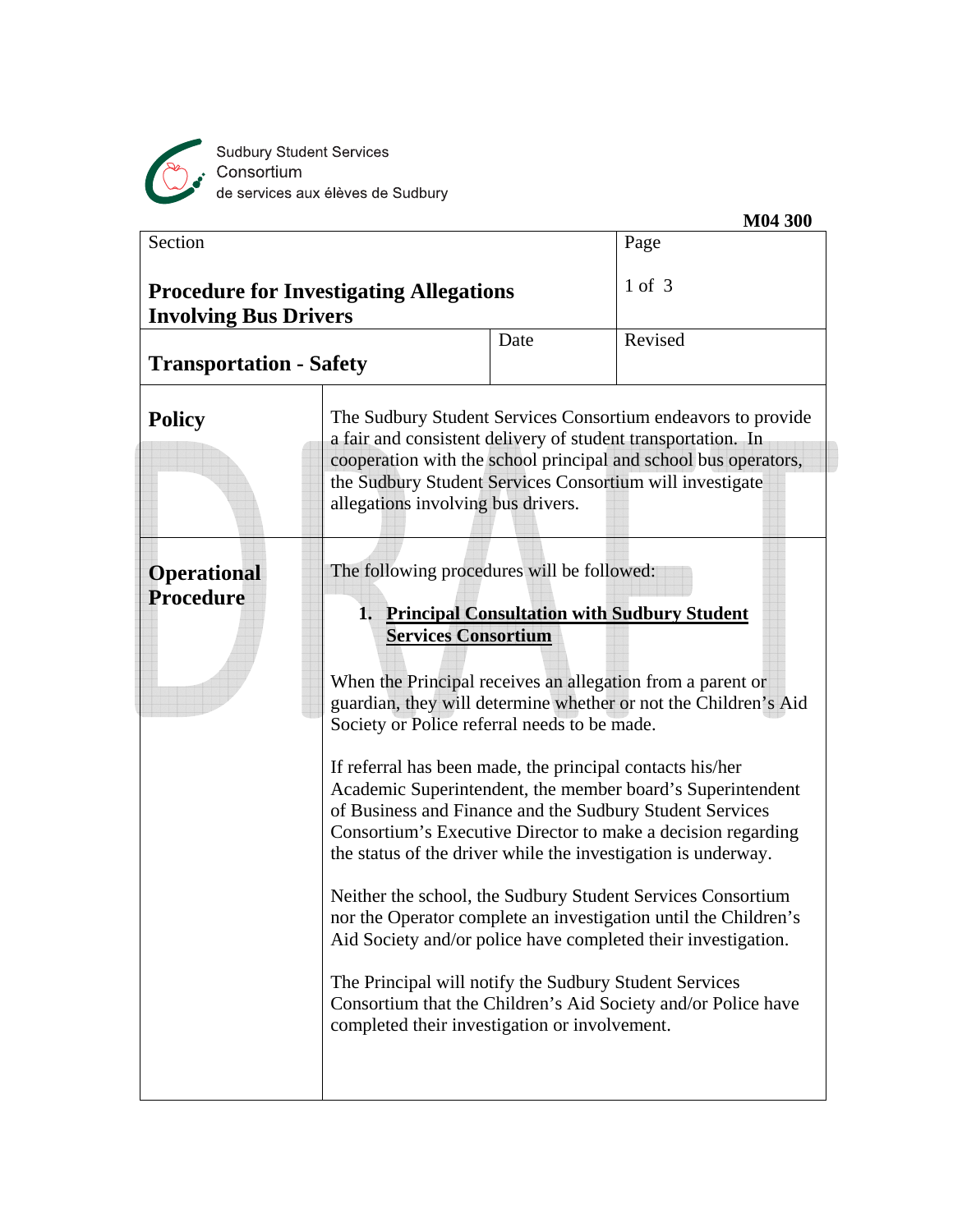

Sudbury Student Services<br>Consortium<br>de services aux élèves de Sudbury

| Section                                                                        |                                                                                                                                                                                                                                                                                                  |      | Page                                                                                                                                                                                                                                                                                                                                                                                                                                                                                                                                                                                                                                                                                                           |
|--------------------------------------------------------------------------------|--------------------------------------------------------------------------------------------------------------------------------------------------------------------------------------------------------------------------------------------------------------------------------------------------|------|----------------------------------------------------------------------------------------------------------------------------------------------------------------------------------------------------------------------------------------------------------------------------------------------------------------------------------------------------------------------------------------------------------------------------------------------------------------------------------------------------------------------------------------------------------------------------------------------------------------------------------------------------------------------------------------------------------------|
| <b>Procedure for Investigating Allegations</b><br><b>Involving Bus Drivers</b> |                                                                                                                                                                                                                                                                                                  |      | $1$ of $3$                                                                                                                                                                                                                                                                                                                                                                                                                                                                                                                                                                                                                                                                                                     |
| <b>Transportation - Safety</b>                                                 |                                                                                                                                                                                                                                                                                                  | Date | Revised                                                                                                                                                                                                                                                                                                                                                                                                                                                                                                                                                                                                                                                                                                        |
| <b>Policy</b>                                                                  | allegations involving bus drivers.                                                                                                                                                                                                                                                               |      | The Sudbury Student Services Consortium endeavors to provide<br>a fair and consistent delivery of student transportation. In<br>cooperation with the school principal and school bus operators,<br>the Sudbury Student Services Consortium will investigate                                                                                                                                                                                                                                                                                                                                                                                                                                                    |
| <b>Operational</b><br><b>Procedure</b>                                         | The following procedures will be followed:<br><b>Services Consortium</b><br>Society or Police referral needs to be made.<br>If referral has been made, the principal contacts his/her<br>The Principal will notify the Sudbury Student Services<br>completed their investigation or involvement. |      | 1. Principal Consultation with Sudbury Student<br>When the Principal receives an allegation from a parent or<br>guardian, they will determine whether or not the Children's Aid<br>Academic Superintendent, the member board's Superintendent<br>of Business and Finance and the Sudbury Student Services<br>Consortium's Executive Director to make a decision regarding<br>the status of the driver while the investigation is underway.<br>Neither the school, the Sudbury Student Services Consortium<br>nor the Operator complete an investigation until the Children's<br>Aid Society and/or police have completed their investigation.<br>Consortium that the Children's Aid Society and/or Police have |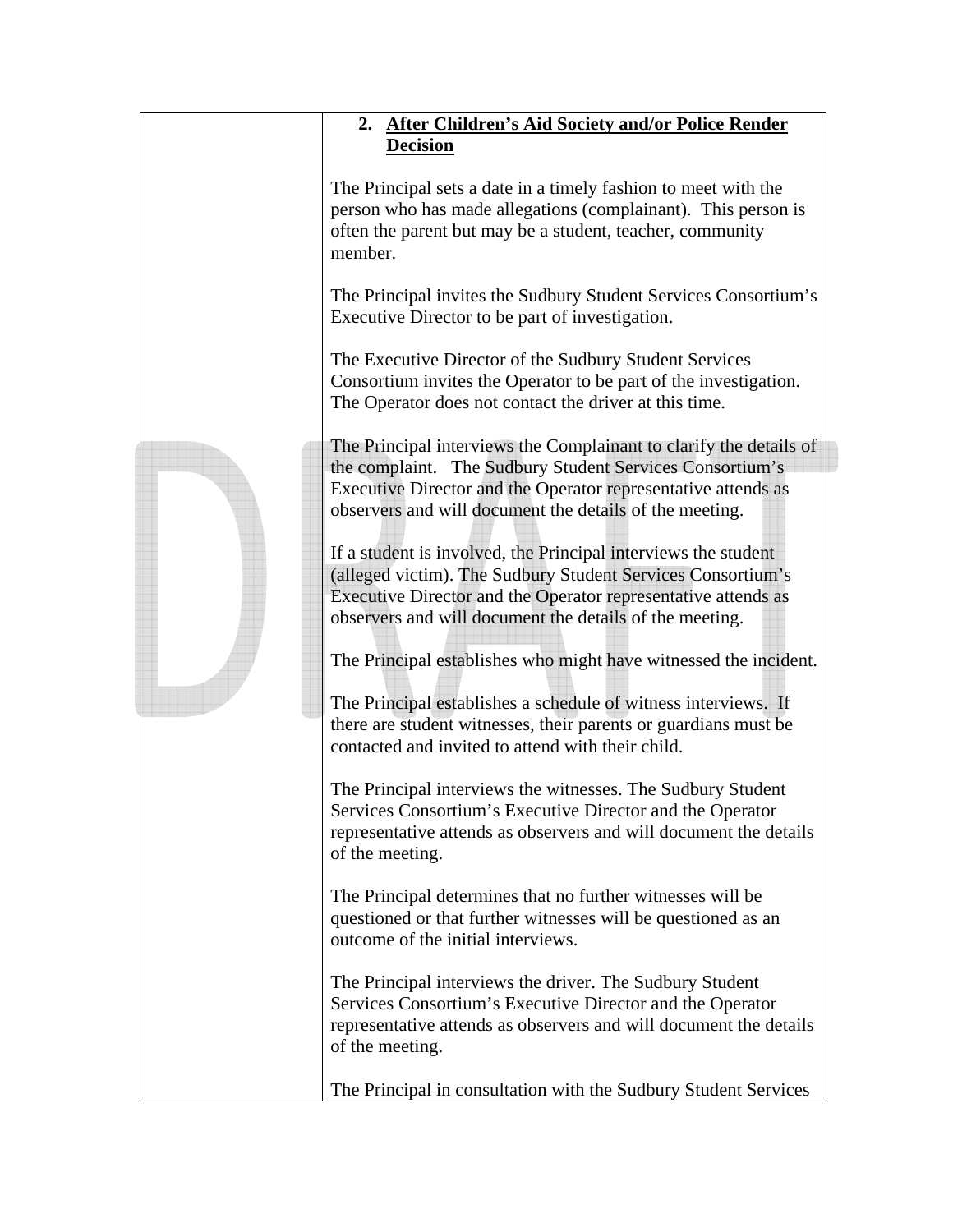|  | 2. After Children's Aid Society and/or Police Render                                                                                                                                                                                                       |
|--|------------------------------------------------------------------------------------------------------------------------------------------------------------------------------------------------------------------------------------------------------------|
|  | <b>Decision</b>                                                                                                                                                                                                                                            |
|  | The Principal sets a date in a timely fashion to meet with the<br>person who has made allegations (complainant). This person is<br>often the parent but may be a student, teacher, community<br>member.                                                    |
|  | The Principal invites the Sudbury Student Services Consortium's<br>Executive Director to be part of investigation.                                                                                                                                         |
|  | The Executive Director of the Sudbury Student Services<br>Consortium invites the Operator to be part of the investigation.<br>The Operator does not contact the driver at this time.                                                                       |
|  | The Principal interviews the Complainant to clarify the details of<br>the complaint. The Sudbury Student Services Consortium's<br>Executive Director and the Operator representative attends as<br>observers and will document the details of the meeting. |
|  | If a student is involved, the Principal interviews the student<br>(alleged victim). The Sudbury Student Services Consortium's<br>Executive Director and the Operator representative attends as<br>observers and will document the details of the meeting.  |
|  | The Principal establishes who might have witnessed the incident.                                                                                                                                                                                           |
|  | The Principal establishes a schedule of witness interviews. If<br>there are student witnesses, their parents or guardians must be<br>contacted and invited to attend with their child.                                                                     |
|  | The Principal interviews the witnesses. The Sudbury Student<br>Services Consortium's Executive Director and the Operator<br>representative attends as observers and will document the details<br>of the meeting.                                           |
|  | The Principal determines that no further witnesses will be<br>questioned or that further witnesses will be questioned as an<br>outcome of the initial interviews.                                                                                          |
|  | The Principal interviews the driver. The Sudbury Student<br>Services Consortium's Executive Director and the Operator<br>representative attends as observers and will document the details<br>of the meeting.                                              |
|  | The Principal in consultation with the Sudbury Student Services                                                                                                                                                                                            |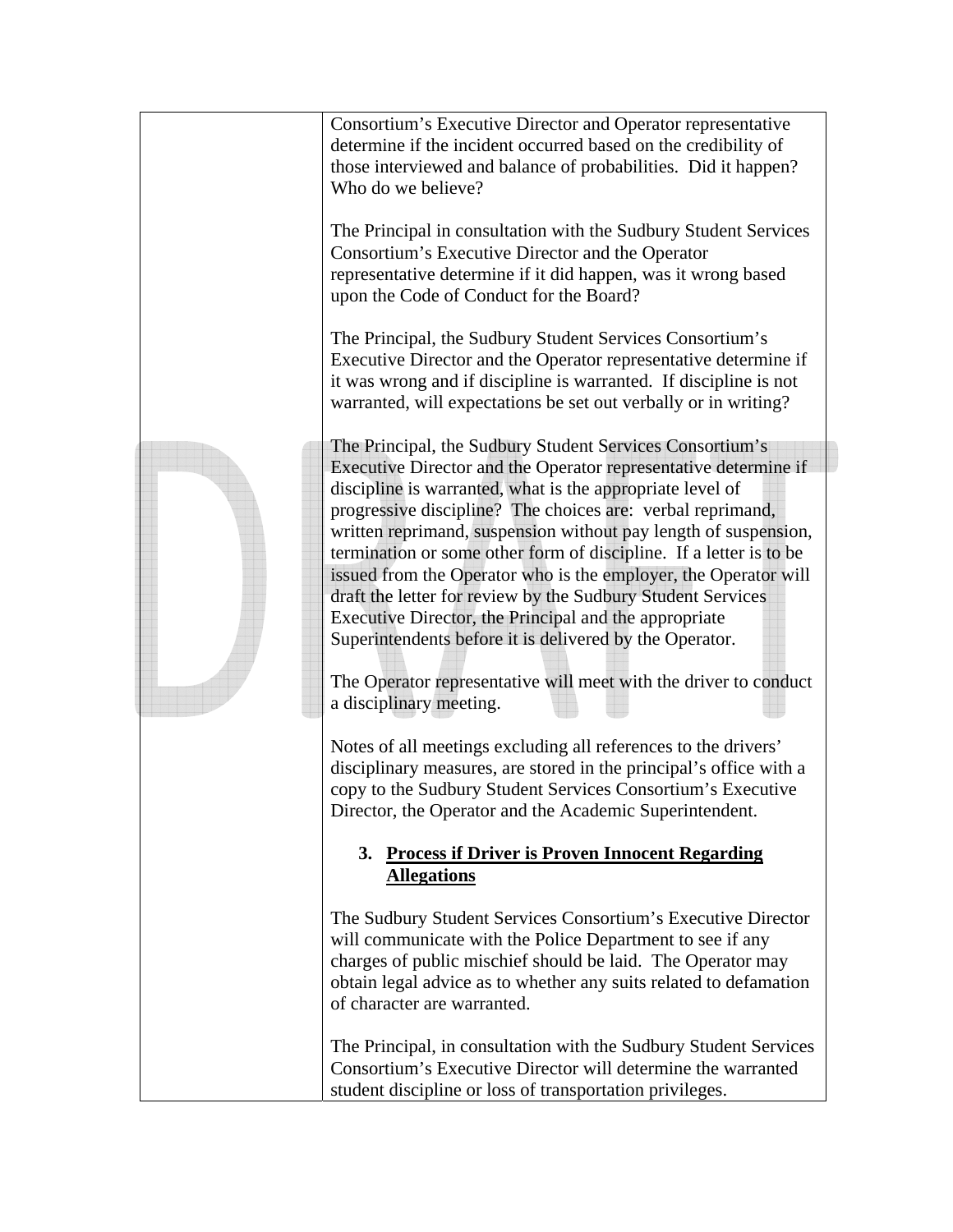|  | Consortium's Executive Director and Operator representative<br>determine if the incident occurred based on the credibility of<br>those interviewed and balance of probabilities. Did it happen?<br>Who do we believe?<br>The Principal in consultation with the Sudbury Student Services<br>Consortium's Executive Director and the Operator<br>representative determine if it did happen, was it wrong based<br>upon the Code of Conduct for the Board?                                                                                                                                                                                                                                                                                                                                                                                                                                                                                                                                                               |
|--|------------------------------------------------------------------------------------------------------------------------------------------------------------------------------------------------------------------------------------------------------------------------------------------------------------------------------------------------------------------------------------------------------------------------------------------------------------------------------------------------------------------------------------------------------------------------------------------------------------------------------------------------------------------------------------------------------------------------------------------------------------------------------------------------------------------------------------------------------------------------------------------------------------------------------------------------------------------------------------------------------------------------|
|  | The Principal, the Sudbury Student Services Consortium's<br>Executive Director and the Operator representative determine if<br>it was wrong and if discipline is warranted. If discipline is not<br>warranted, will expectations be set out verbally or in writing?                                                                                                                                                                                                                                                                                                                                                                                                                                                                                                                                                                                                                                                                                                                                                    |
|  | The Principal, the Sudbury Student Services Consortium's<br>Executive Director and the Operator representative determine if<br>discipline is warranted, what is the appropriate level of<br>progressive discipline? The choices are: verbal reprimand,<br>written reprimand, suspension without pay length of suspension,<br>termination or some other form of discipline. If a letter is to be<br>issued from the Operator who is the employer, the Operator will<br>draft the letter for review by the Sudbury Student Services<br>Executive Director, the Principal and the appropriate<br>Superintendents before it is delivered by the Operator.<br>The Operator representative will meet with the driver to conduct<br>a disciplinary meeting.<br>Notes of all meetings excluding all references to the drivers'<br>disciplinary measures, are stored in the principal's office with a<br>copy to the Sudbury Student Services Consortium's Executive<br>Director, the Operator and the Academic Superintendent. |
|  | 3. Process if Driver is Proven Innocent Regarding<br><b>Allegations</b>                                                                                                                                                                                                                                                                                                                                                                                                                                                                                                                                                                                                                                                                                                                                                                                                                                                                                                                                                |
|  | The Sudbury Student Services Consortium's Executive Director<br>will communicate with the Police Department to see if any<br>charges of public mischief should be laid. The Operator may<br>obtain legal advice as to whether any suits related to defamation<br>of character are warranted.                                                                                                                                                                                                                                                                                                                                                                                                                                                                                                                                                                                                                                                                                                                           |
|  | The Principal, in consultation with the Sudbury Student Services<br>Consortium's Executive Director will determine the warranted<br>student discipline or loss of transportation privileges.                                                                                                                                                                                                                                                                                                                                                                                                                                                                                                                                                                                                                                                                                                                                                                                                                           |